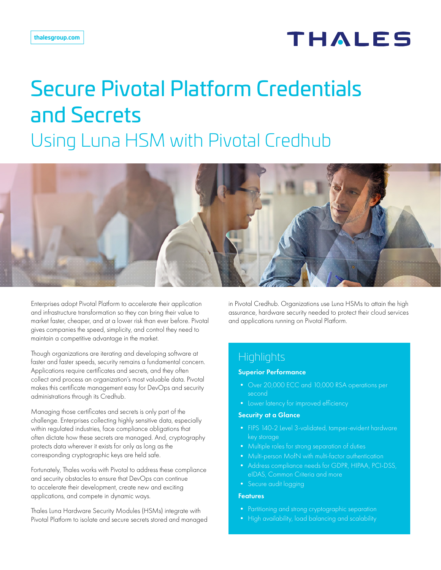## **THALES**

# Secure Pivotal Platform Credentials and Secrets Using Luna HSM with Pivotal Credhub



Enterprises adopt Pivotal Platform to accelerate their application and infrastructure transformation so they can bring their value to market faster, cheaper, and at a lower risk than ever before. Pivotal gives companies the speed, simplicity, and control they need to maintain a competitive advantage in the market.

Though organizations are iterating and developing software at faster and faster speeds, security remains a fundamental concern. Applications require certificates and secrets, and they often collect and process an organization's most valuable data. Pivotal makes this certificate management easy for DevOps and security administrations through its Credhub.

Managing those certificates and secrets is only part of the challenge. Enterprises collecting highly sensitive data, especially within regulated industries, face compliance obligations that often dictate how these secrets are managed. And, cryptography protects data wherever it exists for only as long as the corresponding cryptographic keys are held safe.

Fortunately, Thales works with Pivotal to address these compliance and security obstacles to ensure that DevOps can continue to accelerate their development, create new and exciting applications, and compete in dynamic ways.

Thales Luna Hardware Security Modules (HSMs) integrate with Pivotal Platform to isolate and secure secrets stored and managed in Pivotal Credhub. Organizations use Luna HSMs to attain the high assurance, hardware security needed to protect their cloud services and applications running on Pivotal Platform.

#### **Highlights**

#### Superior Performance

- Over 20,000 ECC and 10,000 RSA operations per second
- 

#### Security at a Glance

- FIPS 140-2 Level 3-validated, tamper-evident hardware key storage
- 
- Multi-person MofN with multi-factor authentication
- Address compliance needs for GDPR, HIPAA, PCI-DSS, eIDAS, Common Criteria and more
- Secure audit logging

#### **Features**

- Partitioning and strong cryptographic separation
- High availability, load balancing and scalability